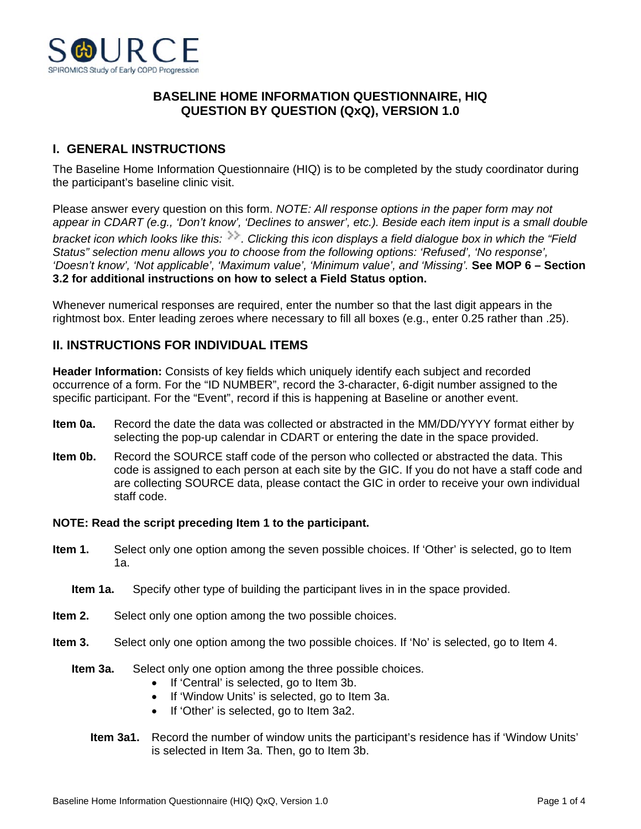

## **BASELINE HOME INFORMATION QUESTIONNAIRE, HIQ QUESTION BY QUESTION (QxQ), VERSION 1.0**

# **I. GENERAL INSTRUCTIONS**

The Baseline Home Information Questionnaire (HIQ) is to be completed by the study coordinator during the participant's baseline clinic visit.

Please answer every question on this form. *NOTE: All response options in the paper form may not appear in CDART (e.g., 'Don't know', 'Declines to answer', etc.). Beside each item input is a small double bracket icon which looks like this: . Clicking this icon displays a field dialogue box in which the "Field Status" selection menu allows you to choose from the following options: 'Refused', 'No response', 'Doesn't know', 'Not applicable', 'Maximum value', 'Minimum value', and 'Missing'.* **See MOP 6 – Section 3.2 for additional instructions on how to select a Field Status option.**

Whenever numerical responses are required, enter the number so that the last digit appears in the rightmost box. Enter leading zeroes where necessary to fill all boxes (e.g., enter 0.25 rather than .25).

## **II. INSTRUCTIONS FOR INDIVIDUAL ITEMS**

**Header Information:** Consists of key fields which uniquely identify each subject and recorded occurrence of a form. For the "ID NUMBER", record the 3-character, 6-digit number assigned to the specific participant. For the "Event", record if this is happening at Baseline or another event.

- **Item 0a.** Record the date the data was collected or abstracted in the MM/DD/YYYY format either by selecting the pop-up calendar in CDART or entering the date in the space provided.
- **Item 0b.** Record the SOURCE staff code of the person who collected or abstracted the data. This code is assigned to each person at each site by the GIC. If you do not have a staff code and are collecting SOURCE data, please contact the GIC in order to receive your own individual staff code.

### **NOTE: Read the script preceding Item 1 to the participant.**

- **Item 1.** Select only one option among the seven possible choices. If 'Other' is selected, go to Item 1a.
	- **Item 1a.** Specify other type of building the participant lives in in the space provided.
- **Item 2.** Select only one option among the two possible choices.
- **Item 3.** Select only one option among the two possible choices. If 'No' is selected, go to Item 4.
	- **Item 3a.** Select only one option among the three possible choices.
		- If 'Central' is selected, go to Item 3b.
		- If 'Window Units' is selected, go to Item 3a.
		- If 'Other' is selected, go to Item 3a2.
		- **Item 3a1.** Record the number of window units the participant's residence has if 'Window Units' is selected in Item 3a. Then, go to Item 3b.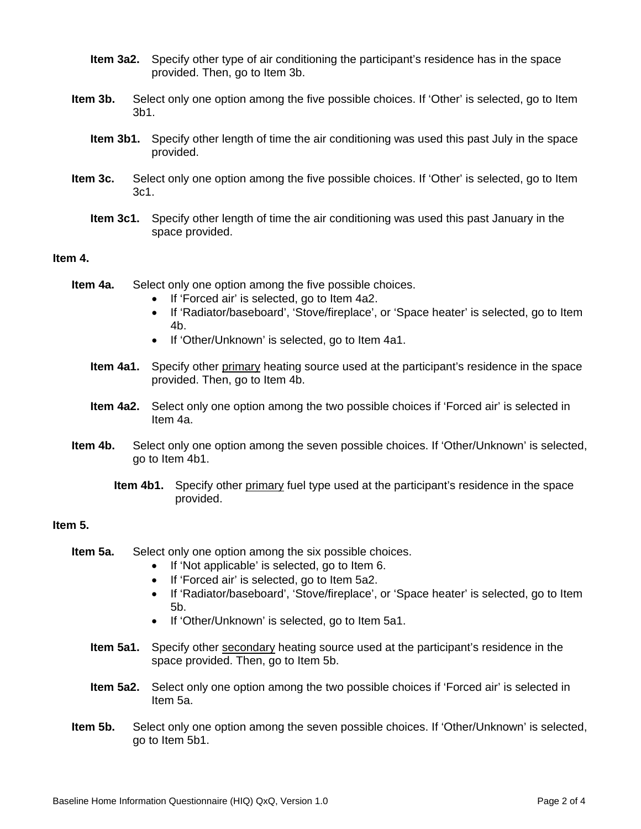- **Item 3a2.** Specify other type of air conditioning the participant's residence has in the space provided. Then, go to Item 3b.
- **Item 3b.** Select only one option among the five possible choices. If 'Other' is selected, go to Item 3b1.
	- **Item 3b1.** Specify other length of time the air conditioning was used this past July in the space provided.
- **Item 3c.** Select only one option among the five possible choices. If 'Other' is selected, go to Item 3c1.
	- **Item 3c1.** Specify other length of time the air conditioning was used this past January in the space provided.

#### **Item 4.**

- **Item 4a.** Select only one option among the five possible choices.
	- If 'Forced air' is selected, go to Item 4a2.
	- If 'Radiator/baseboard', 'Stove/fireplace', or 'Space heater' is selected, go to Item 4b.
	- If 'Other/Unknown' is selected, go to Item 4a1.
	- **Item 4a1.** Specify other primary heating source used at the participant's residence in the space provided. Then, go to Item 4b.
	- **Item 4a2.** Select only one option among the two possible choices if 'Forced air' is selected in Item 4a.
- **Item 4b.** Select only one option among the seven possible choices. If 'Other/Unknown' is selected, go to Item 4b1.
	- **Item 4b1.** Specify other primary fuel type used at the participant's residence in the space provided.

### **Item 5.**

- **Item 5a.** Select only one option among the six possible choices.
	- If 'Not applicable' is selected, go to Item 6.
	- If 'Forced air' is selected, go to Item 5a2.
	- If 'Radiator/baseboard', 'Stove/fireplace', or 'Space heater' is selected, go to Item 5b.
	- If 'Other/Unknown' is selected, go to Item 5a1.
	- **Item 5a1.** Specify other secondary heating source used at the participant's residence in the space provided. Then, go to Item 5b.
	- **Item 5a2.** Select only one option among the two possible choices if 'Forced air' is selected in Item 5a.
- **Item 5b.** Select only one option among the seven possible choices. If 'Other/Unknown' is selected, go to Item 5b1.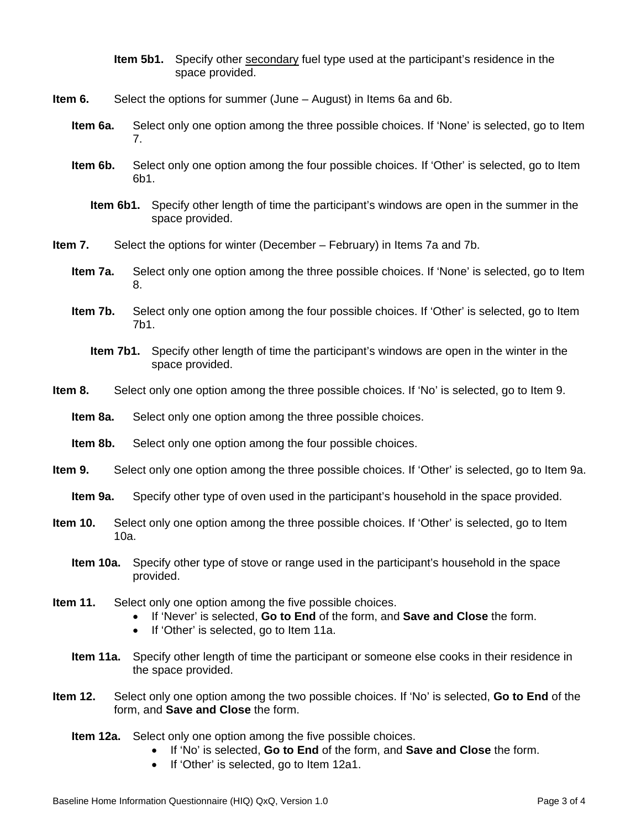- **Item 5b1.** Specify other secondary fuel type used at the participant's residence in the space provided.
- **Item 6.** Select the options for summer (June August) in Items 6a and 6b.
	- **Item 6a.** Select only one option among the three possible choices. If 'None' is selected, go to Item 7.
	- **Item 6b.** Select only one option among the four possible choices. If 'Other' is selected, go to Item 6b1.
		- **Item 6b1.** Specify other length of time the participant's windows are open in the summer in the space provided.
- **Item 7.** Select the options for winter (December February) in Items 7a and 7b.
	- **Item 7a.** Select only one option among the three possible choices. If 'None' is selected, go to Item 8.
	- **Item 7b.** Select only one option among the four possible choices. If 'Other' is selected, go to Item 7b1.
		- **Item 7b1.** Specify other length of time the participant's windows are open in the winter in the space provided.
- **Item 8.** Select only one option among the three possible choices. If 'No' is selected, go to Item 9.
	- **Item 8a.** Select only one option among the three possible choices.
	- **Item 8b.** Select only one option among the four possible choices.
- **Item 9.** Select only one option among the three possible choices. If 'Other' is selected, go to Item 9a.
	- **Item 9a.** Specify other type of oven used in the participant's household in the space provided.
- **Item 10.** Select only one option among the three possible choices. If 'Other' is selected, go to Item 10a.
	- **Item 10a.** Specify other type of stove or range used in the participant's household in the space provided.
- **Item 11.** Select only one option among the five possible choices.
	- If 'Never' is selected, **Go to End** of the form, and **Save and Close** the form.
	- If 'Other' is selected, go to Item 11a.
	- **Item 11a.** Specify other length of time the participant or someone else cooks in their residence in the space provided.
- **Item 12.** Select only one option among the two possible choices. If 'No' is selected, **Go to End** of the form, and **Save and Close** the form.
	- **Item 12a.** Select only one option among the five possible choices.
		- If 'No' is selected, **Go to End** of the form, and **Save and Close** the form.
		- If 'Other' is selected, go to Item 12a1.